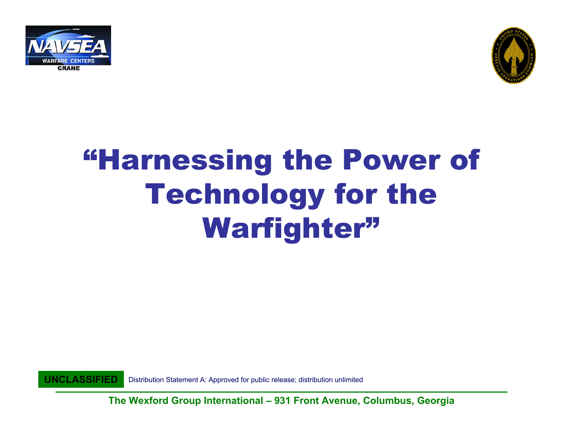



### "Harnessing the Power of Technology for the Warfighter"

**UNCLASSIFIED**Distribution Statement A: Approved for public release; distribution unlimited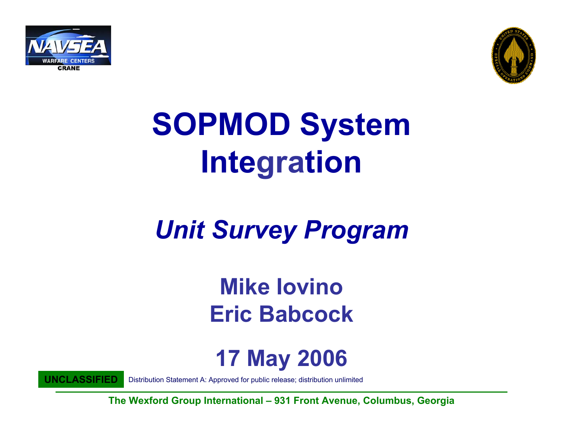



# **SOPMOD System Integration**

#### *Unit Survey Program*

#### **Mike IovinoEric Babcock**

#### **17 May 2006**

**UNCLASSIFIED**

Distribution Statement A: Approved for public release; distribution unlimited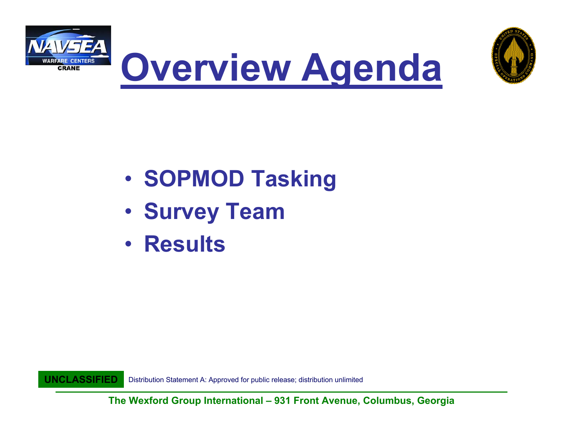





- •**· SOPMOD Tasking**
- $\bullet$ **• Survey Team**
- **Results**

**UNCLASSIFIED**Distribution Statement A: Approved for public release; distribution unlimited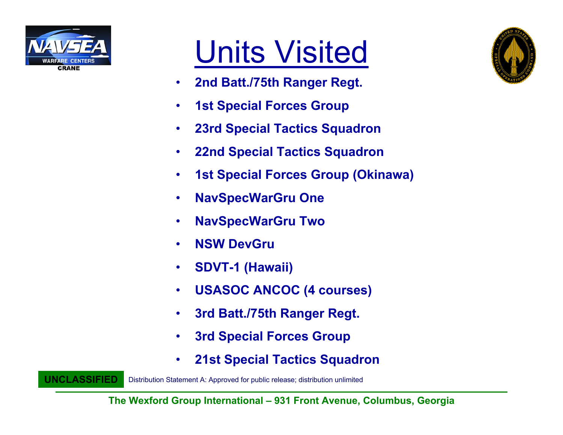

**UNCLASSIFIED**

### Units Visited

- $\bullet$ **2nd Batt./75th Ranger Regt.**
- $\bullet$ **1st Special Forces Group**
- •**23rd Special Tactics Squadron**
- •**22nd Special Tactics Squadron**
- $\bullet$ **1st Special Forces Group (Okinawa)**
- $\bullet$ **NavSpecWarGru One**
- •**NavSpecWarGru Two**
- •**NSW DevGru**
- •**SDVT-1 (Hawaii)**
- $\bullet$ **USASOC ANCOC (4 courses)**
- •**3rd Batt./75th Ranger Regt.**
- $\bullet$ **3rd Special Forces Group**
- •**21st Special Tactics Squadron**

Distribution Statement A: Approved for public release; distribution unlimited

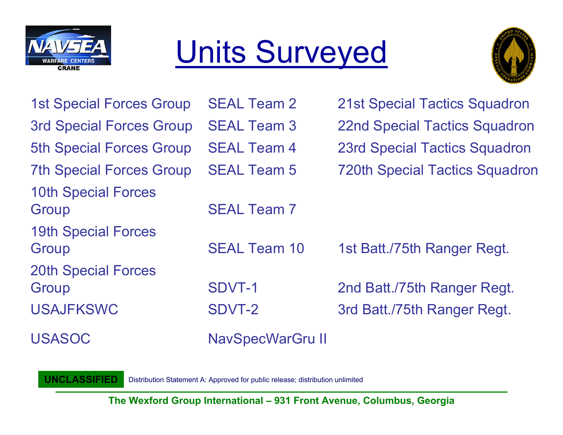

## Units Surveyed



| <b>1st Special Forces Group</b>     | <b>SEAL Team 2</b>      | <b>21st Special Tactics Squadron</b>  |
|-------------------------------------|-------------------------|---------------------------------------|
| <b>3rd Special Forces Group</b>     | <b>SEAL Team 3</b>      | <b>22nd Special Tactics Squadron</b>  |
| <b>5th Special Forces Group</b>     | <b>SEAL Team 4</b>      | <b>23rd Special Tactics Squadron</b>  |
| <b>7th Special Forces Group</b>     | <b>SEAL Team 5</b>      | <b>720th Special Tactics Squadron</b> |
| <b>10th Special Forces</b><br>Group | <b>SEAL Team 7</b>      |                                       |
| <b>19th Special Forces</b><br>Group | <b>SEAL Team 10</b>     | 1st Batt./75th Ranger Regt.           |
| <b>20th Special Forces</b><br>Group | SDVT-1                  | 2nd Batt./75th Ranger Regt.           |
| <b>USAJFKSWC</b>                    | <b>SDVT-2</b>           | 3rd Batt./75th Ranger Regt.           |
| <b>USASOC</b>                       | <b>NavSpecWarGru II</b> |                                       |

**UNCLASSIFIED**Distribution Statement A: Approved for public release; distribution unlimited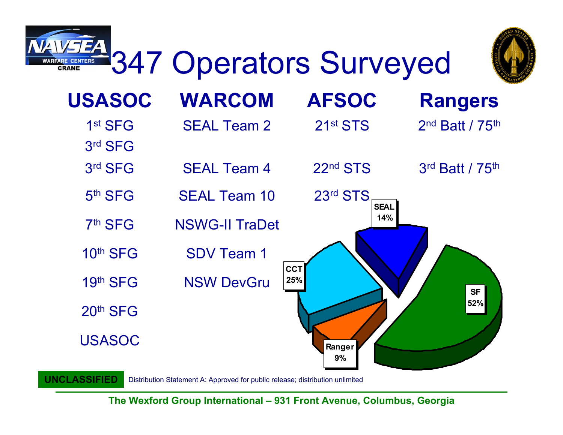

Distribution Statement A: Approved for public release; distribution unlimited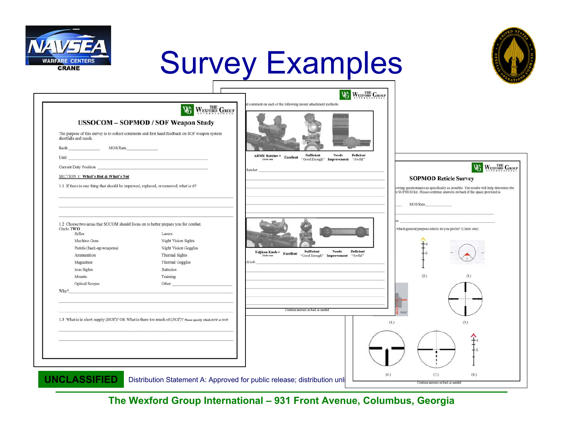

**UNCLASSIFIED**

### Survey Examples



| shortfalls and needs.<br>MOS/Rate<br>Rank<br>Unit:                                                                                                                                                                                  | WEXFORD GROUP<br>WG<br><b>USSOCOM - SOPMOD / SOF Weapon Study</b><br>The purpose of this survey is to collect comments and first hand feedback on SOF weapon system<br>the control of the control of the control of the control of the control of | id comment on each of the following mount attachment methods:<br>$\begin{minipage}{.4\linewidth} \textbf{ARMY Ratehet} = & \textbf{Excellent} & \begin{minipage}{.45\linewidth} \textbf{Sultgreen} \\ \textbf{``Good Enough''} & \textbf{Improvement} \end{minipage} \end{minipage}$                                                               |
|-------------------------------------------------------------------------------------------------------------------------------------------------------------------------------------------------------------------------------------|---------------------------------------------------------------------------------------------------------------------------------------------------------------------------------------------------------------------------------------------------|----------------------------------------------------------------------------------------------------------------------------------------------------------------------------------------------------------------------------------------------------------------------------------------------------------------------------------------------------|
| <b>Current Duty Position</b><br>SECTION 1: What's Hot & What's Not<br>1.1 If there is one thing that should be improved, replaced, or removed, what is it?                                                                          |                                                                                                                                                                                                                                                   | WEXFORD GROUP<br>Æ<br>Ratchet<br><b>SOPMOD Reticle Survey</b><br>owing questionnaire as specifically as possible. The results will help determine the<br>e SOPMOD kit. Please continue answers on back if the space provided is                                                                                                                    |
| 1.2 Choose two areas that SOCOM should focus on to better prepare you for combat.<br>Circle TWO<br>Rifles<br>Machine Guns<br>Pistols (back-up weapons)<br>Ammunition<br>Magazines<br>Iron Sights<br>Mounts<br><b>Optical Scopes</b> | Lasers<br><b>Night Vision Sights</b><br><b>Night Vision Goggles</b><br>Thermal Sights<br>Thermal Goggles<br><b>Batteries</b><br>Training<br>Other                                                                                                 | MOS/Rate<br>which general purpose reticle do you prefer? (Circle one):<br>Deficient<br>$\begin{tabular}{llllll} Trijicon Knob = & \textbf{Scellent} & \textbf{Sutilcient} & \textbf{Nectus} & \textbf{Nutil}^n\\ & \textbf{Cirde one} & & \textbf{CordEnough}^n & \textbf{Improvement} & \textbf{``Awful''} \end{tabular}$<br>Knob<br>(2.)<br>(3.) |
| Why?                                                                                                                                                                                                                                | 1.3 What is in short supply (HOT)? OR What is there too much of (NOT)? Please specify which HOT or NOT                                                                                                                                            | Continue answers on back as needed<br>(4.)<br>(5.)                                                                                                                                                                                                                                                                                                 |

**The Wexford Group International – 931 Front Avenue, Columbus, Georgia**

Distribution Statement A: Approved for public release; distribution unli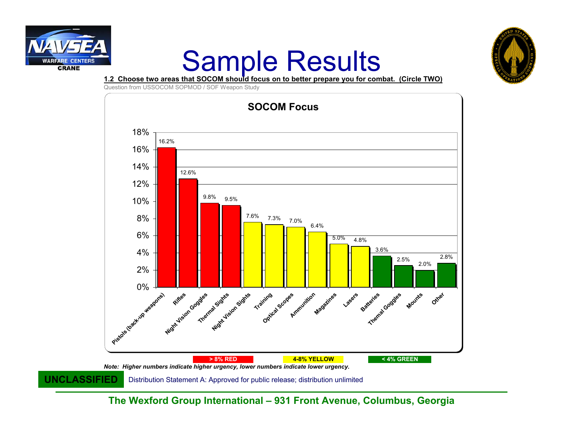

## **Sample Results**<br>**1.2 Choose two areas that SOCOM should focus on to better prepare you for combat. (Circle TWO)**



Question from USSOCOM SOPMOD / SOF Weapon Study

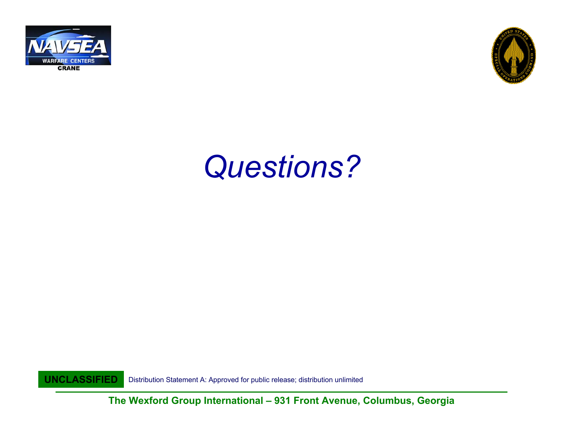



#### *Questions?*

**UNCLASSIFIED**Distribution Statement A: Approved for public release; distribution unlimited